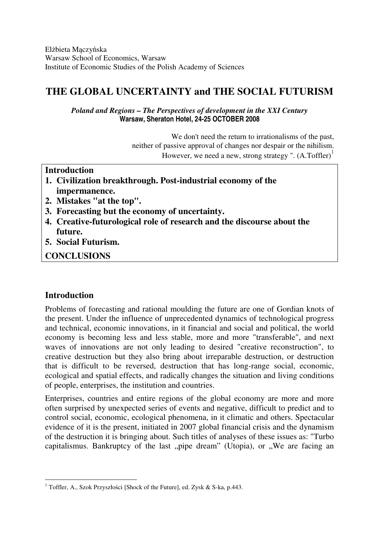Elżbieta Mączyńska Warsaw School of Economics, Warsaw Institute of Economic Studies of the Polish Academy of Sciences

# **THE GLOBAL UNCERTAINTY and THE SOCIAL FUTURISM**

*Poland and Regions – The Perspectives of development in the XXI Century*  **Warsaw, Sheraton Hotel, 24-25 OCTOBER 2008** 

> We don't need the return to irrationalisms of the past, neither of passive approval of changes nor despair or the nihilism. However, we need a new, strong strategy ".  $(A.Toffler)^{\perp}$

### **Introduction**

- **1. Civilization breakthrough. Post-industrial economy of the impermanence.**
- **2. Mistakes "at the top".**
- **3. Forecasting but the economy of uncertainty.**
- **4. Creative-futurological role of research and the discourse about the future.**
- **5. Social Futurism.**

**CONCLUSIONS** 

### **Introduction**

 $\overline{a}$ 

Problems of forecasting and rational moulding the future are one of Gordian knots of the present. Under the influence of unprecedented dynamics of technological progress and technical, economic innovations, in it financial and social and political, the world economy is becoming less and less stable, more and more "transferable", and next waves of innovations are not only leading to desired "creative reconstruction", to creative destruction but they also bring about irreparable destruction, or destruction that is difficult to be reversed, destruction that has long-range social, economic, ecological and spatial effects, and radically changes the situation and living conditions of people, enterprises, the institution and countries.

Enterprises, countries and entire regions of the global economy are more and more often surprised by unexpected series of events and negative, difficult to predict and to control social, economic, ecological phenomena, in it climatic and others. Spectacular evidence of it is the present, initiated in 2007 global financial crisis and the dynamism of the destruction it is bringing about. Such titles of analyses of these issues as: "Turbo capitalismus. Bankruptcy of the last "pipe dream" (Utopia), or "We are facing an

<sup>&</sup>lt;sup>1</sup> Toffler, A., Szok Przyszłości [Shock of the Future], ed. Zysk & S-ka, p.443.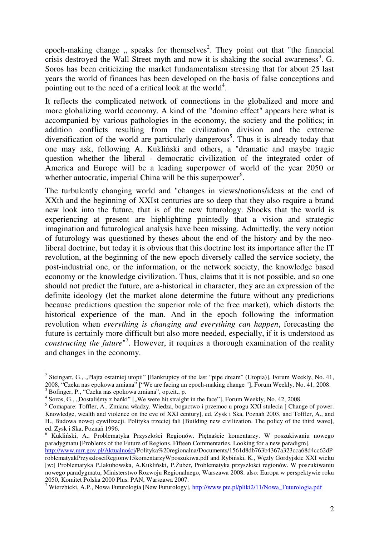epoch-making change, speaks for themselves<sup>2</sup>. They point out that "the financial crisis destroyed the Wall Street myth and now it is shaking the social awareness<sup>3</sup>. G. Soros has been criticizing the market fundamentalism stressing that for about 25 last years the world of finances has been developed on the basis of false conceptions and pointing out to the need of a critical look at the world<sup>4</sup>.

It reflects the complicated network of connections in the globalized and more and more globalizing world economy. A kind of the "domino effect" appears here what is accompanied by various pathologies in the economy, the society and the politics; in addition conflicts resulting from the civilization division and the extreme diversification of the world are particularly dangerous<sup>5</sup>. Thus it is already today that one may ask, following A. Kukliński and others, a "dramatic and maybe tragic question whether the liberal - democratic civilization of the integrated order of America and Europe will be a leading superpower of world of the year 2050 or whether autocratic, imperial China will be this superpower<sup>6</sup>.

The turbulently changing world and "changes in views/notions/ideas at the end of XXth and the beginning of XXIst centuries are so deep that they also require a brand new look into the future, that is of the new futurology. Shocks that the world is experiencing at present are highlighting pointedly that a vision and strategic imagination and futurological analysis have been missing. Admittedly, the very notion of futurology was questioned by theses about the end of the history and by the neoliberal doctrine, but today it is obvious that this doctrine lost its importance after the IT revolution, at the beginning of the new epoch diversely called the service society, the post-industrial one, or the information, or the network society, the knowledge based economy or the knowledge civilization. Thus, claims that it is not possible, and so one should not predict the future, are a-historical in character, they are an expression of the definite ideology (let the market alone determine the future without any predictions because predictions question the superior role of the free market), which distorts the historical experience of the man. And in the epoch following the information revolution when *everything is changing and everything can happen*, forecasting the future is certainly more difficult but also more needed, especially, if it is understood as constructing the future<sup>"7</sup>. However, it requires a thorough examination of the reality and changes in the economy.

 $\overline{a}$ 

<sup>&</sup>lt;sup>2</sup> Steingart, G., "Plajta ostatniej utopii" [Bankruptcy of the last "pipe dream" (Utopia)], Forum Weekly, No. 41, 2008, "Czeka nas epokowa zmiana" ["We are facing an epoch-making change "], Forum Weekly, No. 41, 2008. 3 Bofinger, P., "Czeka nas epokowa zmiana", op.cit., p.

 $4$  Soros, G., "Dostaliśmy z bańki" ["We were hit straight in the face"], Forum Weekly, No. 42, 2008.

<sup>&</sup>lt;sup>5</sup> Comapare: Toffler, A., Zmiana władzy. Wiedza, bogactwo i przemoc u progu XXI stulecia [ Change of power. Knowledge, wealth and violence on the eve of XXI century], ed. Zysk i Ska, Poznań 2003, and Toffler, A., and H., Budowa nowej cywilizacji. Polityka trzeciej fali [Building new civilization. The policy of the third wave], ed. Zysk i Ska, Poznań 1996.

<sup>6</sup> Kukliński, A., Problematyka Przyszłości Regionów. Piętnaście komentarzy. W poszukiwaniu nowego paradygmatu [Problems of the Future of Regions. Fifteen Commentaries. Looking for a new paradigm].

http://www.mrr.gov.pl/Aktualności/Polityka%20regionalna/Documents/1561d8db763b4367a323cca68d4cc62dP roblematyakPrzyszlosciRegionw15komentarzyWposzukiwa.pdf and Rybiński, K., Węzły Gordyjskie XXI wieku [w:] Problematyka P.Jakubowska, A.Kukliński, P.Żuber, Problematyka przyszłości regionów. W poszukiwaniu nowego paradygmatu, Ministerstwo Rozwoju Regionalnego, Warszawa 2008. also: Europa w perspektywie roku 2050, Komitet Polska 2000 Plus, PAN, Warszawa 2007.

<sup>&</sup>lt;sup>7</sup> Wierzbicki, A.P., Nowa Futurologia [New Futurology], http://www.pte.pl/pliki2/11/Nowa\_Futurologia.pdf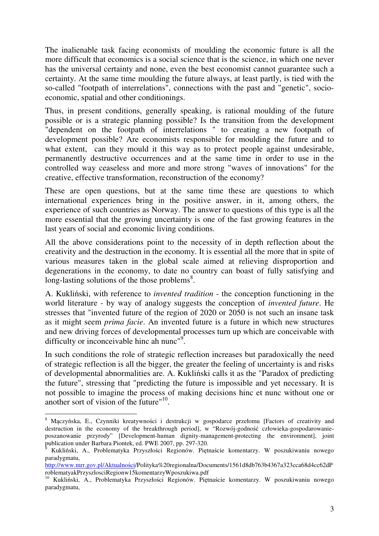The inalienable task facing economists of moulding the economic future is all the more difficult that economics is a social science that is the science, in which one never has the universal certainty and none, even the best economist cannot guarantee such a certainty. At the same time moulding the future always, at least partly, is tied with the so-called "footpath of interrelations", connections with the past and "genetic", socioeconomic, spatial and other conditionings.

Thus, in present conditions, generally speaking, is rational moulding of the future possible or is a strategic planning possible? Is the transition from the development "dependent on the footpath of interrelations " to creating a new footpath of development possible? Are economists responsible for moulding the future and to what extent, can they mould it this way as to protect people against undesirable, permanently destructive occurrences and at the same time in order to use in the controlled way ceaseless and more and more strong "waves of innovations" for the creative, effective transformation, reconstruction of the economy?

These are open questions, but at the same time these are questions to which international experiences bring in the positive answer, in it, among others, the experience of such countries as Norway. The answer to questions of this type is all the more essential that the growing uncertainty is one of the fast growing features in the last years of social and economic living conditions.

All the above considerations point to the necessity of in depth reflection about the creativity and the destruction in the economy. It is essential all the more that in spite of various measures taken in the global scale aimed at relieving disproportion and degenerations in the economy, to date no country can boast of fully satisfying and long-lasting solutions of the those problems $8$ .

A. Kukliński, with reference to *invented tradition* - the conception functioning in the world literature - by way of analogy suggests the conception of *invented future*. He stresses that "invented future of the region of 2020 or 2050 is not such an insane task as it might seem *prima facie*. An invented future is a future in which new structures and new driving forces of developmental processes turn up which are conceivable with difficulty or inconceivable hinc ah nunc"<sup>9</sup>.

In such conditions the role of strategic reflection increases but paradoxically the need of strategic reflection is all the bigger, the greater the feeling of uncertainty is and risks of developmental abnormalities are. A. Kukliński calls it as the "Paradox of predicting the future", stressing that "predicting the future is impossible and yet necessary. It is not possible to imagine the process of making decisions hinc et nunc without one or another sort of vision of the future"<sup>10</sup>.

 8 Mączyńska, E., Czynniki kreatywności i destrukcji w gospodarce przełomu [Factors of creativity and destruction in the economy of the breakthrough period], w "Rozwój-godność człowieka-gospodarowanieposzanowanie przyrody" [Development-human dignity-management-protecting the environment], joint publication under Barbara Piontek, ed. PWE 2007, pp. 297-320.

<sup>9</sup> Kukliński, A., Problematyka Przyszłości Regionów. Piętnaście komentarzy. W poszukiwaniu nowego paradygmatu,

http://www.mrr.gov.pl/Aktualności/Polityka%20regionalna/Documents/1561d8db763b4367a323cca68d4cc62dP roblematyakPrzyszlosciRegionw15komentarzyWposzukiwa.pdf

<sup>&</sup>lt;sup>10</sup> Kukliński, A., Problematyka Przyszłości Regionów. Piętnaście komentarzy. W poszukiwaniu nowego paradygmatu,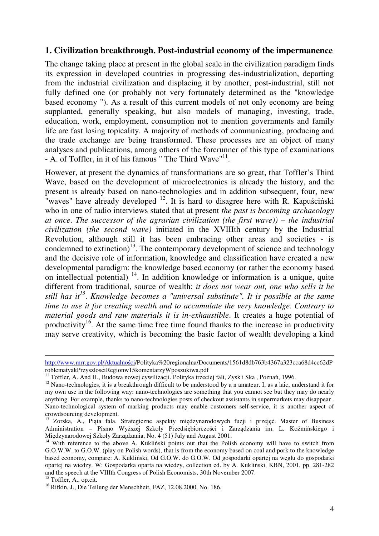### **1. Civilization breakthrough. Post-industrial economy of the impermanence**

The change taking place at present in the global scale in the civilization paradigm finds its expression in developed countries in progressing des-industrialization, departing from the industrial civilization and displacing it by another, post-industrial, still not fully defined one (or probably not very fortunately determined as the "knowledge based economy "). As a result of this current models of not only economy are being supplanted, generally speaking, but also models of managing, investing, trade, education, work, employment, consumption not to mention governments and family life are fast losing topicality. A majority of methods of communicating, producing and the trade exchange are being transformed. These processes are an object of many analyses and publications, among others of the forerunner of this type of examinations - A. of Toffler, in it of his famous " The Third Wave"<sup>11</sup>.

However, at present the dynamics of transformations are so great, that Toffler's Third Wave, based on the development of microelectronics is already the history, and the present is already based on nano-technologies and in addition subsequent, four, new "waves" have already developed  $12$ . It is hard to disagree here with R. Kapuściński who in one of radio interviews stated that at present *the past is becoming archaeology at once*. *The successor of the agrarian civilization (the first wave)) – the industrial civilization (the second wave)* initiated in the XVIIIth century by the Industrial Revolution, although still it has been embracing other areas and societies - is condemned to extinction)<sup>13</sup>. The contemporary development of science and technology and the decisive role of information, knowledge and classification have created a new developmental paradigm: the knowledge based economy (or rather the economy based on intellectual potential)  $^{14}$ . In addition knowledge or information is a unique, quite different from traditional, source of wealth: *it does not wear out, one who sells it he still has it<sup>15</sup>* . *Knowledge becomes a "universal substitute". It is possible at the same time to use it for creating wealth and to accumulate the very knowledge. Contrary to material goods and raw materials it is in-exhaustible*. It creates a huge potential of productivity<sup>16</sup>. At the same time free time found thanks to the increase in productivity may serve creativity, which is becoming the basic factor of wealth developing a kind

-

http://www.mrr.gov.pl/Aktualności/Polityka%20regionalna/Documents/1561d8db763b4367a323cca68d4cc62dP roblematyakPrzyszlosciRegionw15komentarzyWposzukiwa.pdf

 $11$  Toffler, A. And H., Budowa nowej cywilizacji. Polityka trzeciej fali, Zysk i Ska, Poznań, 1996.

 $12$  Nano-technologies, it is a breakthrough difficult to be understood by a n amateur. I, as a laic, understand it for my own use in the following way: nano-technologies are something that you cannot see but they may do nearly anything. For example, thanks to nano-technologies posts of checkout assistants in supermarkets may disappear . Nano-technological system of marking products may enable customers self-service, it is another aspect of crowdsourcing development.

<sup>&</sup>lt;sup>13</sup> Zorska, A., Piąta fala. Strategiczne aspekty międzynarodowych fuzji i przejęć. Master of Business Administration – Pismo Wyższej Szkoły Przedsiębiorczości i Zarządzania im. L. Koźmińskiego i Międzynarodowej Szkoły Zarządzania, No. 4 (51) July and August 2001.

<sup>&</sup>lt;sup>14</sup> With reference to the above A. Kukliński points out that the Polish economy will have to switch from G.O.W.W. to G.O.W. (play on Polish words), that is from the economy based on coal and pork to the knowledge based economy, compare: A. Kukliński, Od G.O.W. do G.O.W. Od gospodarki opartej na węglu do gospodarki opartej na wiedzy. W: Gospodarka oparta na wiedzy, collection ed. by A. Kukliński, KBN, 2001, pp. 281-282 and the speech at the VIIIth Congress of Polish Economists, 30th November 2007.

<sup>&</sup>lt;sup>15</sup> Toffler, A., op.cit.

<sup>&</sup>lt;sup>16</sup> Rifkin, J., Die Teilung der Menschheit, FAZ, 12.08.2000, No. 186.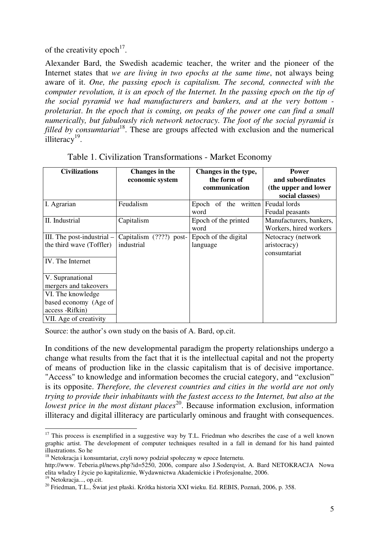of the creativity epoch<sup>17</sup>.

Alexander Bard, the Swedish academic teacher, the writer and the pioneer of the Internet states that *we are living in two epochs at the same time*, not always being aware of it. *One, the passing epoch is capitalism. The second, connected with the computer revolution, it is an epoch of the Internet. In the passing epoch on the tip of the social pyramid we had manufacturers and bankers, and at the very bottom proletariat*. *In the epoch that is coming, on peaks of the power one can find a small numerically, but fabulously rich network netocracy. The foot of the social pyramid is filled by consumtariat*<sup>18</sup>. These are groups affected with exclusion and the numerical illiteracy<sup>19</sup>.

| <b>Civilizations</b>         | Changes in the           | Changes in the type, | <b>Power</b>            |
|------------------------------|--------------------------|----------------------|-------------------------|
|                              | economic system          | the form of          | and subordinates        |
|                              |                          | communication        | (the upper and lower    |
|                              |                          |                      | social classes)         |
| I. Agrarian                  | Feudalism                | Epoch of the written | Feudal lords            |
|                              |                          | word                 | Feudal peasants         |
| II. Industrial               | Capitalism               | Epoch of the printed | Manufacturers, bankers, |
|                              |                          | word                 | Workers, hired workers  |
| III. The post-industrial $-$ | Capitalism $(???)$ post- | Epoch of the digital | Netocracy (network      |
| the third wave (Toffler)     | industrial               | language             | aristocracy)            |
|                              |                          |                      | consumtariat            |
| IV. The Internet             |                          |                      |                         |
|                              |                          |                      |                         |
| V. Supranational             |                          |                      |                         |
| mergers and takeovers        |                          |                      |                         |
| VI. The knowledge            |                          |                      |                         |
| based economy (Age of        |                          |                      |                         |
| access -Rifkin)              |                          |                      |                         |
| VII. Age of creativity       |                          |                      |                         |

Table 1. Civilization Transformations - Market Economy

Source: the author's own study on the basis of A. Bard, op.cit.

In conditions of the new developmental paradigm the property relationships undergo a change what results from the fact that it is the intellectual capital and not the property of means of production like in the classic capitalism that is of decisive importance. "Access" to knowledge and information becomes the crucial category, and "exclusion" is its opposite. *Therefore, the cleverest countries and cities in the world are not only trying to provide their inhabitants with the fastest access to the Internet, but also at the lowest price in the most distant places*<sup>20</sup>. Because information exclusion, information illiteracy and digital illiteracy are particularly ominous and fraught with consequences.

 $\overline{a}$  $17$  This process is exemplified in a suggestive way by T.L. Friedman who describes the case of a well known graphic artist. The development of computer techniques resulted in a fall in demand for his hand painted illustrations. So he

<sup>&</sup>lt;sup>18</sup> Netokracja i konsumtariat, czyli nowy podział społeczny w epoce Internetu.

http://www. Teberia.pl/news.php?id=5250, 2006, compare also J.Soderqvist, A. Bard NETOKRACJA Nowa elita władzy I życie po kapitalizmie, Wydawnictwa Akademickie i Profesjonalne, 2006.

<sup>&</sup>lt;sup>19</sup> Netokracja..., op.cit.

<sup>&</sup>lt;sup>20</sup> Friedman, T.L., Świat jest płaski. Krótka historia XXI wieku. Ed. REBIS, Poznań, 2006, p. 358.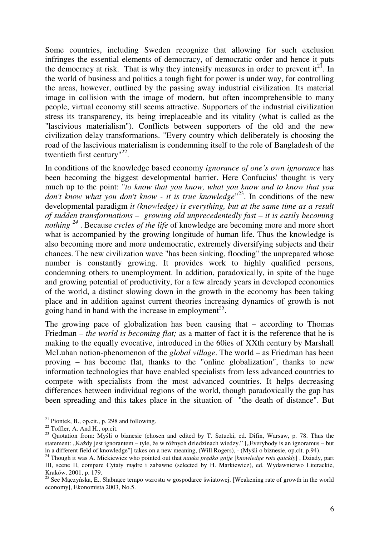Some countries, including Sweden recognize that allowing for such exclusion infringes the essential elements of democracy, of democratic order and hence it puts the democracy at risk. That is why they intensify measures in order to prevent  $it^{21}$ . In the world of business and politics a tough fight for power is under way, for controlling the areas, however, outlined by the passing away industrial civilization. Its material image in collision with the image of modern, but often incomprehensible to many people, virtual economy still seems attractive. Supporters of the industrial civilization stress its transparency, its being irreplaceable and its vitality (what is called as the "lascivious materialism"). Conflicts between supporters of the old and the new civilization delay transformations. "Every country which deliberately is choosing the road of the lascivious materialism is condemning itself to the role of Bangladesh of the twentieth first century"<sup>22</sup>.

In conditions of the knowledge based economy *ignorance of one's own ignorance* has been becoming the biggest developmental barrier. Here Confucius' thought is very much up to the point: "*to know that you know, what you know and to know that you*  don't know what you don't know - it is true knowledge<sup>"23</sup>. In conditions of the new developmental paradigm *it (knowledge) is everything, but at the same time as a result of sudden transformations – growing old unprecedentedly fast – it is easily becoming nothing*<sup>24</sup>. Because *cycles of the life* of knowledge are becoming more and more short what is accompanied by the growing longitude of human life. Thus the knowledge is also becoming more and more undemocratic, extremely diversifying subjects and their chances. The new civilization wave "has been sinking, flooding" the unprepared whose number is constantly growing. It provides work to highly qualified persons, condemning others to unemployment. In addition, paradoxically, in spite of the huge and growing potential of productivity, for a few already years in developed economies of the world, a distinct slowing down in the growth in the economy has been taking place and in addition against current theories increasing dynamics of growth is not going hand in hand with the increase in employment<sup>25</sup>.

The growing pace of globalization has been causing that – according to Thomas Friedman – *the world is becoming flat;* as a matter of fact it is the reference that he is making to the equally evocative, introduced in the 60ies of XXth century by Marshall McLuhan notion-phenomenon of the *global village*. The world – as Friedman has been proving – has become flat, thanks to the "online globalization", thanks to new information technologies that have enabled specialists from less advanced countries to compete with specialists from the most advanced countries. It helps decreasing differences between individual regions of the world, though paradoxically the gap has been spreading and this takes place in the situation of "the death of distance". But

 $\overline{a}$  $21$  Piontek, B., op.cit., p. 298 and following.

<sup>&</sup>lt;sup>22</sup> Toffler, A. And H., op.cit.

<sup>&</sup>lt;sup>23</sup> Quotation from: Myśli o biznesie (chosen and edited by T. Sztucki, ed. Difin, Warsaw, p. 78. Thus the statement: "Każdy jest ignorantem – tyle, że w różnych dziedzinach wiedzy." ["Everybody is an ignoramus – but in a different field of knowledge"] takes on a new meaning, (Will Rogers), - (Myśli o biznesie, op.cit. p.94).

<sup>24</sup> Though it was A. Mickiewicz who pointed out that *nauka pr*ę*dko gnije* [*knowledge rots quickly*] , Dziady, part III, scene II, compare Cytaty mądre i zabawne (selected by H. Markiewicz), ed. Wydawnictwo Literackie, Kraków, 2001, p. 179.

<sup>&</sup>lt;sup>25</sup> See Mączyńska, E., Słabnące tempo wzrostu w gospodarce światowej. [Weakening rate of growth in the world economy], Ekonomista 2003, No.5.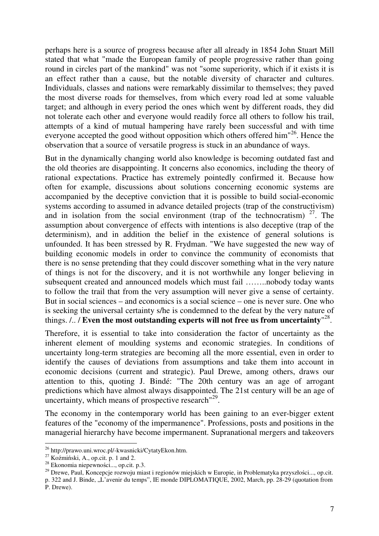perhaps here is a source of progress because after all already in 1854 John Stuart Mill stated that what "made the European family of people progressive rather than going round in circles part of the mankind" was not "some superiority, which if it exists it is an effect rather than a cause, but the notable diversity of character and cultures. Individuals, classes and nations were remarkably dissimilar to themselves; they paved the most diverse roads for themselves, from which every road led at some valuable target; and although in every period the ones which went by different roads, they did not tolerate each other and everyone would readily force all others to follow his trail, attempts of a kind of mutual hampering have rarely been successful and with time everyone accepted the good without opposition which others offered him<sup>126</sup>. Hence the observation that a source of versatile progress is stuck in an abundance of ways.

But in the dynamically changing world also knowledge is becoming outdated fast and the old theories are disappointing. It concerns also economics, including the theory of rational expectations. Practice has extremely pointedly confirmed it. Because how often for example, discussions about solutions concerning economic systems are accompanied by the deceptive conviction that it is possible to build social-economic systems according to assumed in advance detailed projects (trap of the constructivism) and in isolation from the social environment (trap of the technocratism)  $27$ . The assumption about convergence of effects with intentions is also deceptive (trap of the determinism), and in addition the belief in the existence of general solutions is unfounded. It has been stressed by R. Frydman. "We have suggested the new way of building economic models in order to convince the community of economists that there is no sense pretending that they could discover something what in the very nature of things is not for the discovery, and it is not worthwhile any longer believing in subsequent created and announced models which must fail ……..nobody today wants to follow the trail that from the very assumption will never give a sense of certainty. But in social sciences – and economics is a social science – one is never sure. One who is seeking the universal certainty s/he is condemned to the defeat by the very nature of things. /.. / **Even the most outstanding experts will not free us from uncertainty**" 28 .

Therefore, it is essential to take into consideration the factor of uncertainty as the inherent element of moulding systems and economic strategies. In conditions of uncertainty long-term strategies are becoming all the more essential, even in order to identify the causes of deviations from assumptions and take them into account in economic decisions (current and strategic). Paul Drewe, among others, draws our attention to this, quoting J. Bindé: "The 20th century was an age of arrogant predictions which have almost always disappointed. The 21st century will be an age of uncertainty, which means of prospective research<sup>"29</sup>.

The economy in the contemporary world has been gaining to an ever-bigger extent features of the "economy of the impermanence". Professions, posts and positions in the managerial hierarchy have become impermanent. Supranational mergers and takeovers

 $\overline{a}$ <sup>26</sup> http://prawo.uni.wroc.pl/-kwasnicki/CytatyEkon.htm.

 $^{27}$  Koźmiński, A., op.cit. p. 1 and 2.

 $^{28}$  Ekonomia niepewności..., op.cit. p.3.

<sup>&</sup>lt;sup>29</sup> Drewe, Paul, Koncepcje rozwoju miast i regionów miejskich w Europie, in Problematyka przyszłości..., op.cit.

p. 322 and J. Binde, "L'avenir du temps", IE monde DIPLOMATIQUE, 2002, March, pp. 28-29 (quotation from P. Drewe).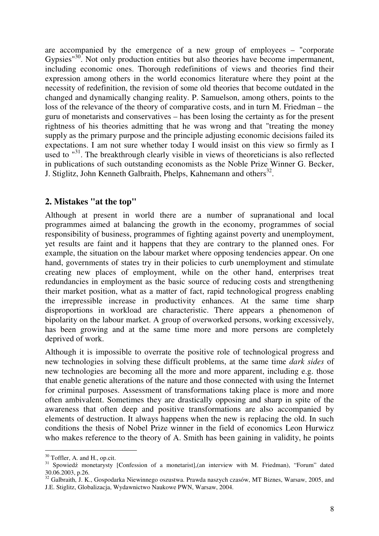are accompanied by the emergence of a new group of employees – "corporate Gypsies<sup>"30</sup>. Not only production entities but also theories have become impermanent, including economic ones. Thorough redefinitions of views and theories find their expression among others in the world economics literature where they point at the necessity of redefinition, the revision of some old theories that become outdated in the changed and dynamically changing reality. P. Samuelson, among others, points to the loss of the relevance of the theory of comparative costs, and in turn M. Friedman – the guru of monetarists and conservatives – has been losing the certainty as for the present rightness of his theories admitting that he was wrong and that "treating the money supply as the primary purpose and the principle adjusting economic decisions failed its expectations. I am not sure whether today I would insist on this view so firmly as I used to <sup>"31</sup>. The breakthrough clearly visible in views of theoreticians is also reflected in publications of such outstanding economists as the Noble Prize Winner G. Becker, J. Stiglitz, John Kenneth Galbraith, Phelps, Kahnemann and others<sup>32</sup>.

### **2. Mistakes "at the top"**

Although at present in world there are a number of supranational and local programmes aimed at balancing the growth in the economy, programmes of social responsibility of business, programmes of fighting against poverty and unemployment, yet results are faint and it happens that they are contrary to the planned ones. For example, the situation on the labour market where opposing tendencies appear. On one hand, governments of states try in their policies to curb unemployment and stimulate creating new places of employment, while on the other hand, enterprises treat redundancies in employment as the basic source of reducing costs and strengthening their market position, what as a matter of fact, rapid technological progress enabling the irrepressible increase in productivity enhances. At the same time sharp disproportions in workload are characteristic. There appears a phenomenon of bipolarity on the labour market. A group of overworked persons, working excessively, has been growing and at the same time more and more persons are completely deprived of work.

Although it is impossible to overrate the positive role of technological progress and new technologies in solving these difficult problems, at the same time *dark sides* of new technologies are becoming all the more and more apparent, including e.g. those that enable genetic alterations of the nature and those connected with using the Internet for criminal purposes. Assessment of transformations taking place is more and more often ambivalent. Sometimes they are drastically opposing and sharp in spite of the awareness that often deep and positive transformations are also accompanied by elements of destruction. It always happens when the new is replacing the old. In such conditions the thesis of Nobel Prize winner in the field of economics Leon Hurwicz who makes reference to the theory of A. Smith has been gaining in validity, he points

 $\overline{a}$  $30$  Toffler, A. and H., op.cit.

<sup>&</sup>lt;sup>31</sup> Spowiedź monetarysty [Confession of a monetarist], (an interview with M. Friedman), "Forum" dated 30.06.2003, p.26.

<sup>&</sup>lt;sup>32</sup> Galbraith, J. K., Gospodarka Niewinnego oszustwa. Prawda naszych czasów, MT Biznes, Warsaw, 2005, and J.E. Stiglitz, Globalizacja, Wydawnictwo Naukowe PWN, Warsaw, 2004.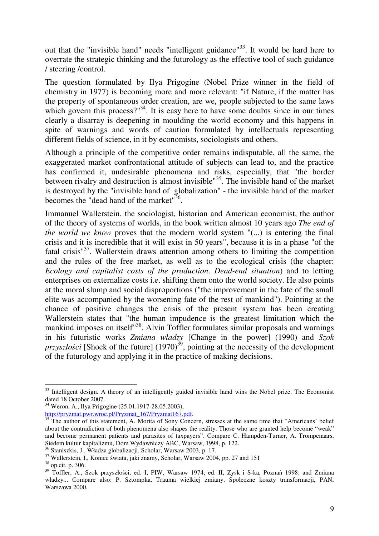out that the "invisible hand" needs "intelligent guidance"<sup>33</sup>. It would be hard here to overrate the strategic thinking and the futurology as the effective tool of such guidance / steering /control.

The question formulated by Ilya Prigogine (Nobel Prize winner in the field of chemistry in 1977) is becoming more and more relevant: "if Nature, if the matter has the property of spontaneous order creation, are we, people subjected to the same laws which govern this process?"<sup>34</sup>. It is easy here to have some doubts since in our times clearly a disarray is deepening in moulding the world economy and this happens in spite of warnings and words of caution formulated by intellectuals representing different fields of science, in it by economists, sociologists and others.

Although a principle of the competitive order remains indisputable, all the same, the exaggerated market confrontational attitude of subjects can lead to, and the practice has confirmed it, undesirable phenomena and risks, especially, that "the border between rivalry and destruction is almost invisible<sup>"35</sup>. The invisible hand of the market is destroyed by the "invisible hand of globalization" - the invisible hand of the market becomes the "dead hand of the market"<sup>36</sup>.

Immanuel Wallerstein, the sociologist, historian and American economist, the author of the theory of systems of worlds, in the book written almost 10 years ago *The end of the world we know* proves that the modern world system "(...) is entering the final crisis and it is incredible that it will exist in 50 years", because it is in a phase "of the fatal crisis $137$ . Wallerstein draws attention among others to limiting the competition and the rules of the free market, as well as to the ecological crisis (the chapter: *Ecology and capitalist costs of the production*. *Dead-end situation*) and to letting enterprises on externalize costs i.e. shifting them onto the world society. He also points at the moral slump and social disproportions ("the improvement in the fate of the small elite was accompanied by the worsening fate of the rest of mankind"). Pointing at the chance of positive changes the crisis of the present system has been creating Wallerstein states that "the human impudence is the greatest limitation which the mankind imposes on itself<sup>"38</sup>. Alvin Toffler formulates similar proposals and warnings in his futuristic works *Zmiana władzy* [Change in the power] (1990) and *Szok*   $przyszłości$  [Shock of the future]  $(1970)^{39}$ , pointing at the necessity of the development of the futurology and applying it in the practice of making decisions.

 $\overline{a}$ <sup>33</sup> Intelligent design. A theory of an intelligently guided invisible hand wins the Nobel prize. The Economist dated 18 October 2007.

<sup>34</sup> Weron, A., Ilya Prigogine (25.01.1917-28.05.2003),

http://pryzmat.pwr.wroc.pl/Pryzmat\_167/Pryzmat167.pdf.

<sup>&</sup>lt;sup>35</sup> The author of this statement, A. Morita of Sony Concern, stresses at the same time that "Americans' belief about the contradiction of both phenomena also shapes the reality. Those who are granted help become "weak" and become permanent patients and parasites of taxpayers". Compare C. Hampden-Turner, A. Trompenaars, Siedem kultur kapitalizmu, Dom Wydawniczy ABC, Warsaw, 1998, p. 122.

<sup>36</sup> Staniszkis, J., Władza globalizacji, Scholar, Warsaw 2003, p. 17.

<sup>37</sup> Wallerstein, I., Koniec świata, jaki znamy, Scholar, Warsaw 2004, pp. 27 and 151

<sup>38</sup> op.cit. p. 306.

<sup>&</sup>lt;sup>39</sup> Toffler, A., Szok przyszłości, ed. I, PIW, Warsaw 1974, ed. II, Zysk i S-ka, Poznań 1998; and Zmiana władzy... Compare also: P. Sztompka, Trauma wielkiej zmiany. Społeczne koszty transformacji, PAN, Warszawa 2000.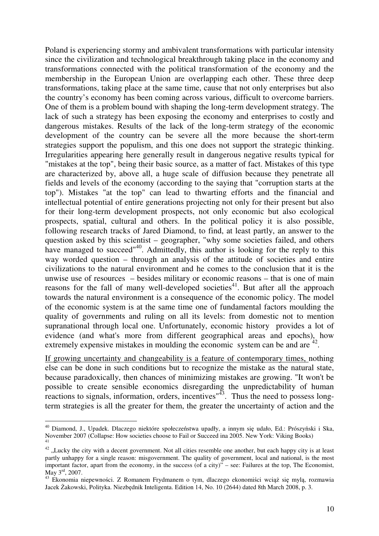Poland is experiencing stormy and ambivalent transformations with particular intensity since the civilization and technological breakthrough taking place in the economy and transformations connected with the political transformation of the economy and the membership in the European Union are overlapping each other. These three deep transformations, taking place at the same time, cause that not only enterprises but also the country's economy has been coming across various, difficult to overcome barriers. One of them is a problem bound with shaping the long-term development strategy. The lack of such a strategy has been exposing the economy and enterprises to costly and dangerous mistakes. Results of the lack of the long-term strategy of the economic development of the country can be severe all the more because the short-term strategies support the populism, and this one does not support the strategic thinking. Irregularities appearing here generally result in dangerous negative results typical for "mistakes at the top", being their basic source, as a matter of fact. Mistakes of this type are characterized by, above all, a huge scale of diffusion because they penetrate all fields and levels of the economy (according to the saying that "corruption starts at the top"). Mistakes "at the top" can lead to thwarting efforts and the financial and intellectual potential of entire generations projecting not only for their present but also for their long-term development prospects, not only economic but also ecological prospects, spatial, cultural and others. In the political policy it is also possible, following research tracks of Jared Diamond, to find, at least partly, an answer to the question asked by this scientist – geographer, "why some societies failed, and others have managed to succeed"<sup>40</sup>. Admittedly, this author is looking for the reply to this way worded question – through an analysis of the attitude of societies and entire civilizations to the natural environment and he comes to the conclusion that it is the unwise use of resources – besides military or economic reasons – that is one of main reasons for the fall of many well-developed societies<sup>41</sup>. But after all the approach towards the natural environment is a consequence of the economic policy. The model of the economic system is at the same time one of fundamental factors moulding the quality of governments and ruling on all its levels: from domestic not to mention supranational through local one. Unfortunately, economic history provides a lot of evidence (and what's more from different geographical areas and epochs), how extremely expensive mistakes in moulding the economic system can be and are  $42$ .

If growing uncertainty and changeability is a feature of contemporary times, nothing else can be done in such conditions but to recognize the mistake as the natural state, because paradoxically, then chances of minimizing mistakes are growing. "It won't be possible to create sensible economics disregarding the unpredictability of human reactions to signals, information, orders, incentives<sup>"43</sup>. Thus the need to possess longterm strategies is all the greater for them, the greater the uncertainty of action and the

 $\overline{a}$ <sup>40</sup> Diamond, J., Upadek. Dlaczego niektóre społeczeństwa upadły, a innym się udało, Ed.: Prószyński i Ska, November 2007 (Collapse: How societies choose to Fail or Succeed ina 2005. New York: Viking Books) 41

 $42$ , Lucky the city with a decent government. Not all cities resemble one another, but each happy city is at least partly unhappy for a single reason: misgovernment. The quality of government, local and national, is the most important factor, apart from the economy, in the success (of a city)" – see: Failures at the top, The Economist, May 3<sup>rd</sup>, 2007.

<sup>43</sup> Ekonomia niepewności. Z Romanem Frydmanem o tym, dlaczego ekonomiści wciąż się mylą, rozmawia Jacek Żakowski, Polityka. Niezbędnik Inteligenta. Edition 14, No. 10 (2644) dated 8th March 2008, p. 3.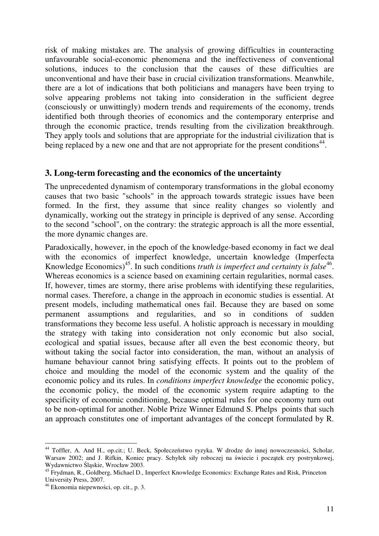risk of making mistakes are. The analysis of growing difficulties in counteracting unfavourable social-economic phenomena and the ineffectiveness of conventional solutions, induces to the conclusion that the causes of these difficulties are unconventional and have their base in crucial civilization transformations. Meanwhile, there are a lot of indications that both politicians and managers have been trying to solve appearing problems not taking into consideration in the sufficient degree (consciously or unwittingly) modern trends and requirements of the economy, trends identified both through theories of economics and the contemporary enterprise and through the economic practice, trends resulting from the civilization breakthrough. They apply tools and solutions that are appropriate for the industrial civilization that is being replaced by a new one and that are not appropriate for the present conditions<sup>44</sup>.

### **3. Long-term forecasting and the economics of the uncertainty**

The unprecedented dynamism of contemporary transformations in the global economy causes that two basic "schools" in the approach towards strategic issues have been formed. In the first, they assume that since reality changes so violently and dynamically, working out the strategy in principle is deprived of any sense. According to the second "school", on the contrary: the strategic approach is all the more essential, the more dynamic changes are.

Paradoxically, however, in the epoch of the knowledge-based economy in fact we deal with the economics of imperfect knowledge, uncertain knowledge (Imperfecta Knowledge Economics)<sup>45</sup>. In such conditions *truth is imperfect and certainty is false*<sup>46</sup>. Whereas economics is a science based on examining certain regularities, normal cases. If, however, times are stormy, there arise problems with identifying these regularities, normal cases. Therefore, a change in the approach in economic studies is essential. At present models, including mathematical ones fail. Because they are based on some permanent assumptions and regularities, and so in conditions of sudden transformations they become less useful. A holistic approach is necessary in moulding the strategy with taking into consideration not only economic but also social, ecological and spatial issues, because after all even the best economic theory, but without taking the social factor into consideration, the man, without an analysis of humane behaviour cannot bring satisfying effects. It points out to the problem of choice and moulding the model of the economic system and the quality of the economic policy and its rules. In *conditions imperfect knowledge* the economic policy, the economic policy, the model of the economic system require adapting to the specificity of economic conditioning, because optimal rules for one economy turn out to be non-optimal for another. Noble Prize Winner Edmund S. Phelps points that such an approach constitutes one of important advantages of the concept formulated by R.

 $\overline{a}$ <sup>44</sup> Toffler, A. And H., op.cit.; U. Beck, Społeczeństwo ryzyka. W drodze do innej nowoczesności, Scholar, Warsaw 2002; and J. Rifkin, Koniec pracy. Schyłek siły roboczej na świecie i początek ery postrynkowej, Wydawnictwo Śląskie, Wrocław 2003.

<sup>&</sup>lt;sup>45</sup> Frydman, R., Goldberg, Michael D., Imperfect Knowledge Economics: Exchange Rates and Risk, Princeton University Press, 2007.

<sup>46</sup> Ekonomia niepewności, op. cit., p. 3.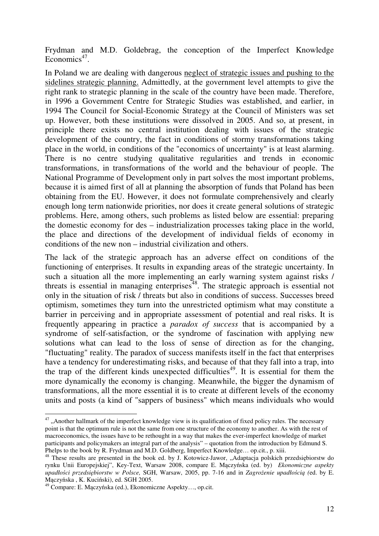Frydman and M.D. Goldebrag, the conception of the Imperfect Knowledge Economics<sup>47</sup>.

In Poland we are dealing with dangerous neglect of strategic issues and pushing to the sidelines strategic planning. Admittedly, at the government level attempts to give the right rank to strategic planning in the scale of the country have been made. Therefore, in 1996 a Government Centre for Strategic Studies was established, and earlier, in 1994 The Council for Social-Economic Strategy at the Council of Ministers was set up. However, both these institutions were dissolved in 2005. And so, at present, in principle there exists no central institution dealing with issues of the strategic development of the country, the fact in conditions of stormy transformations taking place in the world, in conditions of the "economics of uncertainty" is at least alarming. There is no centre studying qualitative regularities and trends in economic transformations, in transformations of the world and the behaviour of people. The National Programme of Development only in part solves the most important problems, because it is aimed first of all at planning the absorption of funds that Poland has been obtaining from the EU. However, it does not formulate comprehensively and clearly enough long term nationwide priorities, nor does it create general solutions of strategic problems. Here, among others, such problems as listed below are essential: preparing the domestic economy for des – industrialization processes taking place in the world, the place and directions of the development of individual fields of economy in conditions of the new non – industrial civilization and others.

The lack of the strategic approach has an adverse effect on conditions of the functioning of enterprises. It results in expanding areas of the strategic uncertainty. In such a situation all the more implementing an early warning system against risks / threats is essential in managing enterprises<sup>48</sup>. The strategic approach is essential not only in the situation of risk / threats but also in conditions of success. Successes breed optimism, sometimes they turn into the unrestricted optimism what may constitute a barrier in perceiving and in appropriate assessment of potential and real risks. It is frequently appearing in practice a *paradox of success* that is accompanied by a syndrome of self-satisfaction, or the syndrome of fascination with applying new solutions what can lead to the loss of sense of direction as for the changing, "fluctuating" reality. The paradox of success manifests itself in the fact that enterprises have a tendency for underestimating risks, and because of that they fall into a trap, into the trap of the different kinds unexpected difficulties<sup>49</sup>. It is essential for them the more dynamically the economy is changing. Meanwhile, the bigger the dynamism of transformations, all the more essential it is to create at different levels of the economy units and posts (a kind of "sappers of business" which means individuals who would

 $\overline{a}$  $47$ , Another hallmark of the imperfect knowledge view is its qualification of fixed policy rules. The necessary point is that the optimum rule is not the same from one structure of the economy to another. As with the rest of macroeconomics, the issues have to be rethought in a way that makes the ever-imperfect knowledge of market participants and policymakers an integral part of the analysis" – quotation from the introduction by Edmund S. Phelps to the book by R. Frydman and M.D. Goldberg, Imperfect Knowledge… op.cit., p. xiii.

<sup>&</sup>lt;sup>48</sup> These results are presented in the book ed. by J. Kotowicz-Jawor, "Adaptacja polskich przedsiębiorstw do rynku Unii Europejskiej", Key-Text, Warsaw 2008, compare E. Mączyńska (ed. by) *Ekonomiczne aspekty upadło*ś*ci przedsi*ę*biorstw w Polsce,* SGH, Warsaw, 2005, pp. 7-16 and in *Zagro*ż*enie upadło*ś*ci*ą *(*ed. by E. Mączyńska , K. Kuciński), ed. SGH 2005.

<sup>49</sup> Compare: E. Mączyńska (ed.), Ekonomiczne Aspekty…, op.cit.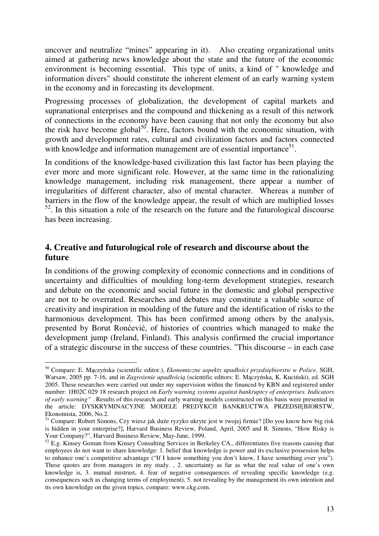uncover and neutralize "mines" appearing in it). Also creating organizational units aimed at gathering news knowledge about the state and the future of the economic environment is becoming essential. This type of units, a kind of " knowledge and information divers" should constitute the inherent element of an early warning system in the economy and in forecasting its development.

Progressing processes of globalization, the development of capital markets and supranational enterprises and the compound and thickening as a result of this network of connections in the economy have been causing that not only the economy but also the risk have become global<sup>50</sup>. Here, factors bound with the economic situation, with growth and development rates, cultural and civilization factors and factors connected with knowledge and information management are of essential importance $51$ .

In conditions of the knowledge-based civilization this last factor has been playing the ever more and more significant role. However, at the same time in the rationalizing knowledge management, including risk management, there appear a number of irregularities of different character, also of mental character. Whereas a number of barriers in the flow of the knowledge appear, the result of which are multiplied losses  $52$ . In this situation a role of the research on the future and the futurological discourse has been increasing.

# **4. Creative and futurological role of research and discourse about the future**

In conditions of the growing complexity of economic connections and in conditions of uncertainty and difficulties of moulding long-term development strategies, research and debate on the economic and social future in the domestic and global perspective are not to be overrated. Researches and debates may constitute a valuable source of creativity and inspiration in moulding of the future and the identification of risks to the harmonious development. This has been confirmed among others by the analysis, presented by Borut Ronćević, of histories of countries which managed to make the development jump (Ireland, Finland). This analysis confirmed the crucial importance of a strategic discourse in the success of these countries. "This discourse – in each case

 $\overline{a}$ <sup>50</sup> Compare: E. Mączyńska (scientific editor.), *Ekonomiczne aspekty upadło*ś*ci przedsi*ę*biorstw w Polsce,* SGH, Warsaw, 2005 pp. 7-16, and in *Zagro*ż*enie upadło*ś*ci*ą (scientific editors: E. Mączyńska, K. Kuciński), ed. SGH 2005. These researches were carried out under my supervision within the financed by KBN and registered under number: 1H02C 029 18 research project on *Early warning systems against bankruptcy of enterprises. Indicators of early warning"* . Results of this research and early warning models constructed on this basis were presented in the article: DYSKRYMINACYJNE MODELE PREDYKCJI BANKRUCTWA PRZEDSIĘBIORSTW, Ekonomista, 2006, No.2.

<sup>&</sup>lt;sup>51</sup> Compare: Robert Simons, Czy wiesz jak duże ryzyko ukryte jest w twojej firmie? [Do you know how big risk is hidden in your enterprise?], Harvard Business Review, Poland, April, 2005 and R. Simons, "How Risky is Your Company?", Harvard Business Review, May-June, 1999.

<sup>&</sup>lt;sup>52</sup> E.g. Kinsey Goman from Kinsey Consulting Services in Berkeley CA., differentiates five reasons causing that employees do not want to share knowledge: 1. belief that knowledge is power and its exclusive possession helps to enhance one's competitive advantage ("If I know something you don't know, I have something over you"). These quotes are from managers in my study. , 2. uncertainty as far as what the real value of one's own knowledge is, 3. mutual mistrust, 4. fear of negative consequences of revealing specific knowledge (e.g. consequences such as changing terms of employment), 5. not revealing by the management its own intention and its own knowledge on the given topics, compare: www.ckg.com.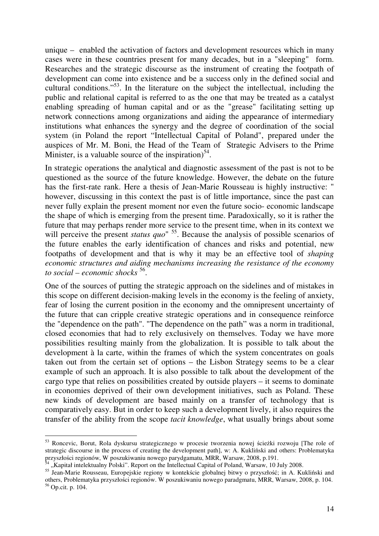unique – enabled the activation of factors and development resources which in many cases were in these countries present for many decades, but in a "sleeping" form. Researches and the strategic discourse as the instrument of creating the footpath of development can come into existence and be a success only in the defined social and cultural conditions."<sup>53</sup>. In the literature on the subject the intellectual, including the public and relational capital is referred to as the one that may be treated as a catalyst enabling spreading of human capital and or as the "grease" facilitating setting up network connections among organizations and aiding the appearance of intermediary institutions what enhances the synergy and the degree of coordination of the social system (in Poland the report "Intellectual Capital of Poland", prepared under the auspices of Mr. M. Boni, the Head of the Team of Strategic Advisers to the Prime Minister, is a valuable source of the inspiration)<sup>54</sup>.

In strategic operations the analytical and diagnostic assessment of the past is not to be questioned as the source of the future knowledge. However, the debate on the future has the first-rate rank. Here a thesis of Jean-Marie Rousseau is highly instructive: " however, discussing in this context the past is of little importance, since the past can never fully explain the present moment nor even the future socio- economic landscape the shape of which is emerging from the present time. Paradoxically, so it is rather the future that may perhaps render more service to the present time, when in its context we will perceive the present *status quo*"<sup>55</sup>. Because the analysis of possible scenarios of the future enables the early identification of chances and risks and potential, new footpaths of development and that is why it may be an effective tool of *shaping economic structures and aiding mechanisms increasing the resistance of the economy to social – economic shocks* <sup>56</sup> .

One of the sources of putting the strategic approach on the sidelines and of mistakes in this scope on different decision-making levels in the economy is the feeling of anxiety, fear of losing the current position in the economy and the omnipresent uncertainty of the future that can cripple creative strategic operations and in consequence reinforce the "dependence on the path". "The dependence on the path" was a norm in traditional, closed economies that had to rely exclusively on themselves. Today we have more possibilities resulting mainly from the globalization. It is possible to talk about the development à la carte, within the frames of which the system concentrates on goals taken out from the certain set of options – the Lisbon Strategy seems to be a clear example of such an approach. It is also possible to talk about the development of the cargo type that relies on possibilities created by outside players – it seems to dominate in economies deprived of their own development initiatives, such as Poland. These new kinds of development are based mainly on a transfer of technology that is comparatively easy. But in order to keep such a development lively, it also requires the transfer of the ability from the scope *tacit knowledge*, what usually brings about some

 $\overline{a}$ 

<sup>53</sup> Roncevic, Borut, Rola dyskursu strategicznego w procesie tworzenia nowej ścieżki rozwoju [The role of strategic discourse in the process of creating the development path], w: A. Kukliński and others: Problematyka przyszłości regionów, W poszukiwaniu nowego parydgamatu, MRR, Warsaw, 2008, p.191.

<sup>&</sup>quot;Kapitał intelektualny Polski". Report on the Intellectual Capital of Poland, Warsaw, 10 July 2008.

<sup>&</sup>lt;sup>55</sup> Jean-Marie Rousseau, Europejskie regiony w kontekście globalnej bitwy o przyszłość; in A. Kukliński and others, Problematyka przyszłości regionów. W poszukiwaniu nowego paradgmatu, MRR, Warsaw, 2008, p. 104. <sup>56</sup> Op.cit. p. 104.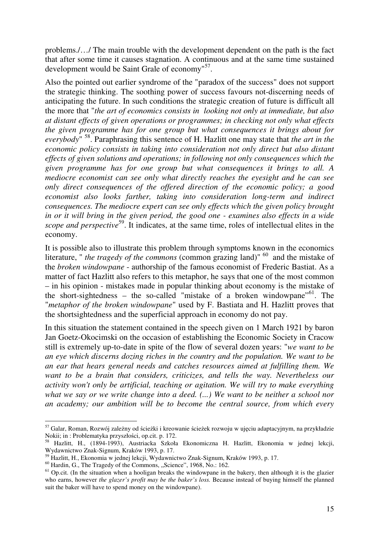problems./…/ The main trouble with the development dependent on the path is the fact that after some time it causes stagnation. A continuous and at the same time sustained development would be Saint Grale of economy"<sup>57</sup>.

Also the pointed out earlier syndrome of the "paradox of the success" does not support the strategic thinking. The soothing power of success favours not-discerning needs of anticipating the future. In such conditions the strategic creation of future is difficult all the more that "*the art of economics consists in looking not only at immediate, but also at distant effects of given operations or programmes; in checking not only what effects the given programme has for one group but what consequences it brings about for everybody*" <sup>58</sup>. Paraphrasing this sentence of H. Hazlitt one may state that *the art in the economic policy consists in taking into consideration not only direct but also distant effects of given solutions and operations; in following not only consequences which the given programme has for one group but what consequences it brings to all. A mediocre economist can see only what directly reaches the eyesight and he can see only direct consequences of the offered direction of the economic policy; a good economist also looks farther, taking into consideration long-term and indirect consequences. The mediocre expert can see only effects which the given policy brought in or it will bring in the given period, the good one - examines also effects in a wide scope and perspective*<sup>59</sup>. It indicates, at the same time, roles of intellectual elites in the economy.

It is possible also to illustrate this problem through symptoms known in the economics literature, " *the tragedy of the commons* (common grazing land)" <sup>60</sup> and the mistake of the *broken windowpane* - authorship of the famous economist of Frederic Bastiat. As a matter of fact Hazlitt also refers to this metaphor, he says that one of the most common – in his opinion - mistakes made in popular thinking about economy is the mistake of the short-sightedness – the so-called "mistake of a broken windowpane"<sup>61</sup>. The "*metaphor of the broken windowpane*" used by F. Bastiata and H. Hazlitt proves that the shortsightedness and the superficial approach in economy do not pay.

In this situation the statement contained in the speech given on 1 March 1921 by baron Jan Goetz-Okocimski on the occasion of establishing the Economic Society in Cracow still is extremely up-to-date in spite of the flow of several dozen years: "*we want to be an eye which discerns dozing riches in the country and the population. We want to be an ear that hears general needs and catches resources aimed at fulfilling them. We want to be a brain that considers, criticizes, and tells the way. Nevertheless our activity won't only be artificial, teaching or agitation. We will try to make everything what we say or we write change into a deed. (...) We want to be neither a school nor an academy; our ambition will be to become the central source, from which every* 

 $\overline{a}$ <sup>57</sup> Galar, Roman, Rozwój zależny od ścieżki i kreowanie ścieżek rozwoju w ujęciu adaptacyjnym, na przykładzie Nokii; in : Problematyka przyszłości, op.cit. p. 172.

<sup>58</sup> Hazlitt, H., (1894-1993), Austriacka Szkoła Ekonomiczna H. Hazlitt, Ekonomia w jednej lekcji, Wydawnictwo Znak-Signum, Kraków 1993, p. 17.

<sup>59</sup> Hazlitt, H., Ekonomia w jednej lekcji, Wydawnictwo Znak-Signum, Kraków 1993, p. 17.

 $^{60}$  Hardin, G., The Tragedy of the Commons, "Science", 1968, No.: 162.

 $61$  Op.cit. (In the situation when a hooligan breaks the windowpane in the bakery, then although it is the glazier who earns, however *the glazer's profit may be the baker's loss.* Because instead of buying himself the planned suit the baker will have to spend money on the windowpane).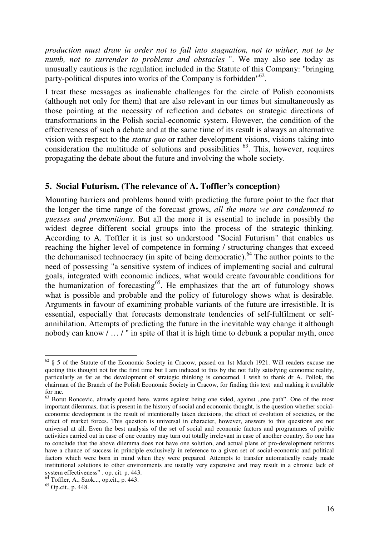*production must draw in order not to fall into stagnation, not to wither, not to be numb, not to surrender to problems and obstacles* ". We may also see today as unusually cautious is the regulation included in the Statute of this Company: "bringing party-political disputes into works of the Company is forbidden"<sup>62</sup>.

I treat these messages as inalienable challenges for the circle of Polish economists (although not only for them) that are also relevant in our times but simultaneously as those pointing at the necessity of reflection and debates on strategic directions of transformations in the Polish social-economic system. However, the condition of the effectiveness of such a debate and at the same time of its result is always an alternative vision with respect to the *status quo* or rather development visions, visions taking into consideration the multitude of solutions and possibilities  $^{63}$ . This, however, requires propagating the debate about the future and involving the whole society.

### **5. Social Futurism. (The relevance of A. Toffler's conception)**

Mounting barriers and problems bound with predicting the future point to the fact that the longer the time range of the forecast grows, *all the more we are condemned to guesses and premonitions*. But all the more it is essential to include in possibly the widest degree different social groups into the process of the strategic thinking. According to A. Toffler it is just so understood "Social Futurism" that enables us reaching the higher level of competence in forming / structuring changes that exceed the dehumanised technocracy (in spite of being democratic).<sup>64</sup> The author points to the need of possessing "a sensitive system of indices of implementing social and cultural goals, integrated with economic indices, what would create favourable conditions for the humanization of forecasting<sup>65</sup>. He emphasizes that the art of futurology shows what is possible and probable and the policy of futurology shows what is desirable. Arguments in favour of examining probable variants of the future are irresistible. It is essential, especially that forecasts demonstrate tendencies of self-fulfilment or selfannihilation. Attempts of predicting the future in the inevitable way change it although nobody can know / … / " in spite of that it is high time to debunk a popular myth, once

 $\overline{a}$  $62 \text{ }\frac{62}{3}$  5 of the Statute of the Economic Society in Cracow, passed on 1st March 1921. Will readers excuse me quoting this thought not for the first time but I am induced to this by the not fully satisfying economic reality, particularly as far as the development of strategic thinking is concerned. I wish to thank dr A. Pollok, the chairman of the Branch of the Polish Economic Society in Cracow, for finding this text and making it available for me.

 $63$  Borut Roncevic, already quoted here, warns against being one sided, against "one path". One of the most important dilemmas, that is present in the history of social and economic thought, is the question whether socialeconomic development is the result of intentionally taken decisions, the effect of evolution of societies, or the effect of market forces. This question is universal in character, however, answers to this questions are not universal at all. Even the best analysis of the set of social and economic factors and programmes of public activities carried out in case of one country may turn out totally irrelevant in case of another country. So one has to conclude that the above dilemma does not have one solution, and actual plans of pro-development reforms have a chance of success in principle exclusively in reference to a given set of social-economic and political factors which were born in mind when they were prepared. Attempts to transfer automatically ready made institutional solutions to other environments are usually very expensive and may result in a chronic lack of system effectiveness" . op. cit. p. 443.

 $64$  Toffler, A., Szok..., op.cit., p. 443.

<sup>65</sup> Op.cit., p. 448.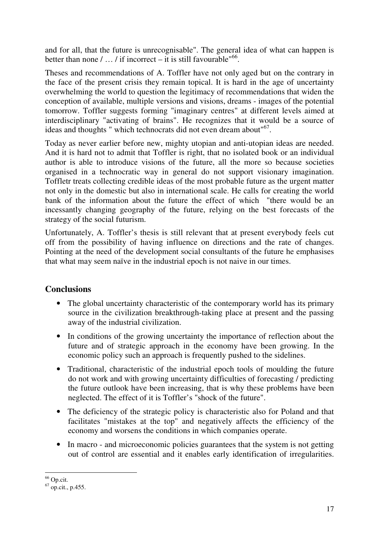and for all, that the future is unrecognisable". The general idea of what can happen is better than none  $/ \dots /$  if incorrect – it is still favourable<sup> $66$ </sup>.

Theses and recommendations of A. Toffler have not only aged but on the contrary in the face of the present crisis they remain topical. It is hard in the age of uncertainty overwhelming the world to question the legitimacy of recommendations that widen the conception of available, multiple versions and visions, dreams - images of the potential tomorrow. Toffler suggests forming "imaginary centres" at different levels aimed at interdisciplinary "activating of brains". He recognizes that it would be a source of ideas and thoughts " which technocrats did not even dream about"<sup>67</sup>.

Today as never earlier before new, mighty utopian and anti-utopian ideas are needed. And it is hard not to admit that Toffler is right, that no isolated book or an individual author is able to introduce visions of the future, all the more so because societies organised in a technocratic way in general do not support visionary imagination. Toffletr treats collecting credible ideas of the most probable future as the urgent matter not only in the domestic but also in international scale. He calls for creating the world bank of the information about the future the effect of which "there would be an incessantly changing geography of the future, relying on the best forecasts of the strategy of the social futurism.

Unfortunately, A. Toffler's thesis is still relevant that at present everybody feels cut off from the possibility of having influence on directions and the rate of changes. Pointing at the need of the development social consultants of the future he emphasises that what may seem naïve in the industrial epoch is not naive in our times.

# **Conclusions**

- The global uncertainty characteristic of the contemporary world has its primary source in the civilization breakthrough-taking place at present and the passing away of the industrial civilization.
- In conditions of the growing uncertainty the importance of reflection about the future and of strategic approach in the economy have been growing. In the economic policy such an approach is frequently pushed to the sidelines.
- Traditional, characteristic of the industrial epoch tools of moulding the future do not work and with growing uncertainty difficulties of forecasting / predicting the future outlook have been increasing, that is why these problems have been neglected. The effect of it is Toffler's "shock of the future".
- The deficiency of the strategic policy is characteristic also for Poland and that facilitates "mistakes at the top" and negatively affects the efficiency of the economy and worsens the conditions in which companies operate.
- In macro and microeconomic policies guarantees that the system is not getting out of control are essential and it enables early identification of irregularities.

 $\overline{a}$  $66$  Op.cit.

 $67$  op.cit., p.455.